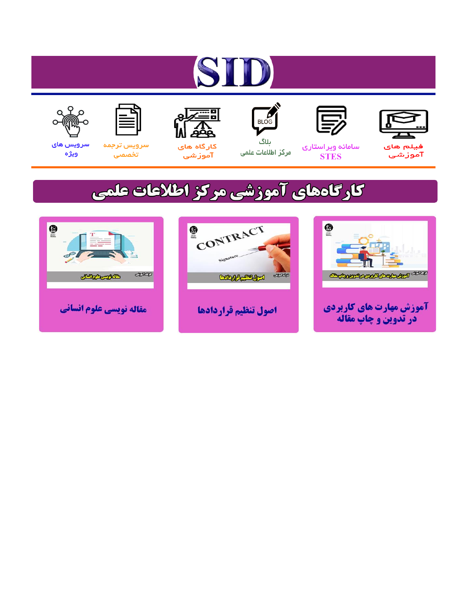# ST











مرکز اطلاعات علمی

 $\frac{1}{\sqrt{\frac{1}{100}}}$ ىلاگ



آموزشي

空

سرويس ترجمه تخصصى



سرویس های ويژه

## كارگاههای آموزشی مركز اطلاعات علمی





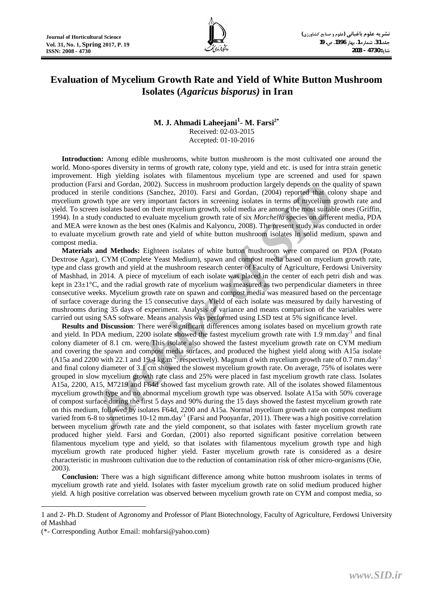

### **Evaluation of Mycelium Growth Rate and Yield of White Button Mushroom Isolates (***Agaricus bisporus)* **in Iran**

#### **M. J. Ahmadi Laheejani<sup>1</sup> - M. Farsi2\*** Received: 02-03-2015 Accepted: 01-10-2016

**Introduction:** Among edible mushrooms, white button mushroom is the most cultivated one around the world. Mono-spores diversity in terms of growth rate, colony type, yield and etc. is used for intra strain genetic improvement. High yielding isolates with filamentous mycelium type are screened and used for spawn production (Farsi and Gordan, 2002). Success in mushroom production largely depends on the quality of spawn produced in sterile conditions (Sanchez, 2010). Farsi and Gordan, (2004) reported that colony shape and mycelium growth type are very important factors in screening isolates in terms of mycelium growth rate and yield. To screen isolates based on their mycelium growth, solid media are among the most suitable ones (Griffin, 1994). In a study conducted to evaluate mycelium growth rate of six *Morchella* species on different media, PDA and MEA were known as the best ones (Kalmis and Kalyoncu, 2008). The present study was conducted in order to evaluate mycelium growth rate and yield of white button mushroom isolates in solid medium, spawn and compost media.

**Materials and Methods:** Eighteen isolates of white button mushroom were compared on PDA (Potato Dextrose Agar), CYM (Complete Yeast Medium), spawn and compost media based on mycelium growth rate, type and class growth and yield at the mushroom research center of Faculty of Agriculture, Ferdowsi University of Mashhad, in 2014. A piece of mycelium of each isolate was placed in the center of each petri dish and was kept in 23±1°C, and the radial growth rate of mycelium was measured as two perpendicular diameters in three consecutive weeks. Mycelium growth rate on spawn and compost media was measured based on the percentage of surface coverage during the 15 consecutive days. Yield of each isolate was measured by daily harvesting of mushrooms during 35 days of experiment. Analysis of variance and means comparison of the variables were carried out using SAS software. Means analysis was performed using LSD test at 5% significance level.

Farsi and Gordan, 2002). Success in mushroom production largely depends on the questies<br>is sterile conditions (Sanchez, 2010). Farsi and Gordan, (2004) reported that colowin type are very important factors in screening iso **Results and Discussion**: There were significant differences among isolates based on mycelium growth rate and yield. In PDA medium, 2200 isolate showed the fastest mycelium growth rate with 1.9 mm.day<sup>-1</sup> and final colony diameter of 8.1 cm. were This isolate also showed the fastest mycelium growth rate on CYM medium and covering the spawn and compost media surfaces, and produced the highest yield along with A15a isolate (A15a and 2200 with 22.1 and 19.4 kg.m<sup>2</sup>, respectively). Magnum d with mycelium growth rate of 0.7 mm.day<sup>1</sup> and final colony diameter of 3.1 cm showed the slowest mycelium growth rate. On average, 75% of isolates were grouped in slow mycelium growth rate class and 25% were placed in fast mycelium growth rate class. Isolates A15a, 2200, A15, M7219 and F64d showed fast mycelium growth rate. All of the isolates showed filamentous mycelium growth type and no abnormal mycelium growth type was observed. Isolate A15a with 50% coverage of compost surface during the first 5 days and 90% during the 15 days showed the fastest mycelium growth rate on this medium, followed by isolates F64d, 2200 and A15a. Normal mycelium growth rate on compost medium varied from 6-8 to sometimes 10-12 mm.day<sup>-1</sup> (Farsi and Pooyanfar, 2011). There was a high positive correlation between mycelium growth rate and the yield component, so that isolates with faster mycelium growth rate produced higher yield. Farsi and Gordan, (2001) also reported significant positive correlation between filamentous mycelium type and yield, so that isolates with filamentous mycelium growth type and high mycelium growth rate produced higher yield. Faster mycelium growth rate is considered as a desire characteristic in mushroom cultivation due to the reduction of contamination risk of other micro-organisms (Oie, 2003).

**Conclusion:** There was a high significant difference among white button mushroom isolates in terms of mycelium growth rate and yield. Isolates with faster mycelium growth rate on solid medium produced higher yield. A high positive correlation was observed between mycelium growth rate on CYM and compost media, so

 $\overline{a}$ 

<sup>1</sup> and 2- Ph.D. Student of Agronomy and Professor of Plant Biotechnology, Faculty of Agriculture, Ferdowsi University of Mashhad

<sup>(\*-</sup> Corresponding Author Email: mohfarsi@yahoo.com)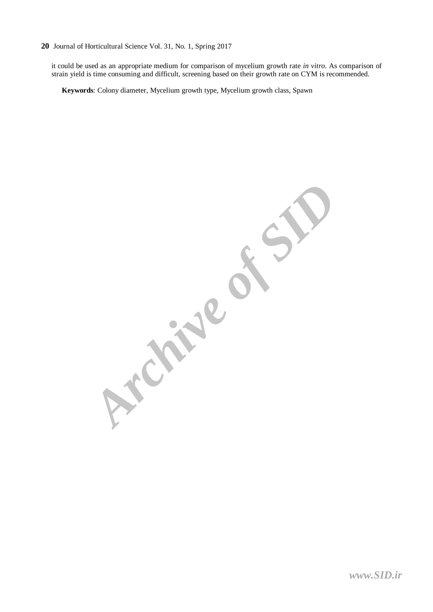#### **20** Journal of Horticultural Science Vol. 31, No. 1, Spring 2017

it could be used as an appropriate medium for comparison of mycelium growth rate *in vitro*. As comparison of strain yield is time consuming and difficult, screening based on their growth rate on CYM is recommended.

**Keywords**: Colony diameter, Mycelium growth type, Mycelium growth class, Spawn

**Archive of SID**